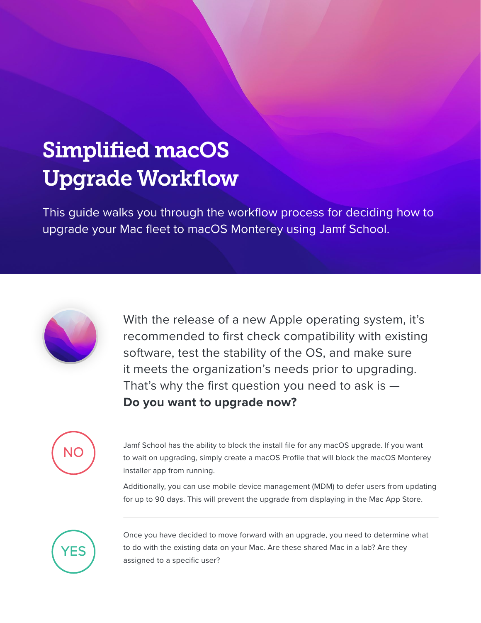## Simplified macOS Upgrade Workflow

This guide walks you through the workflow process for deciding how to upgrade your Mac fleet to macOS Monterey using Jamf School.



With the release of a new Apple operating system, it's recommended to first check compatibility with existing software, test the stability of the OS, and make sure it meets the organization's needs prior to upgrading. That's why the first question you need to ask is  $-$ **Do you want to upgrade now?**



Jamf School has the ability to block the install file for any macOS upgrade. If you want to wait on upgrading, simply create a macOS Profile that will block the macOS Monterey installer app from running.

Additionally, you can use mobile device management (MDM) to defer users from updating for up to 90 days. This will prevent the upgrade from displaying in the Mac App Store.



Once you have decided to move forward with an upgrade, you need to determine what to do with the existing data on your Mac. Are these shared Mac in a lab? Are they assigned to a specific user?